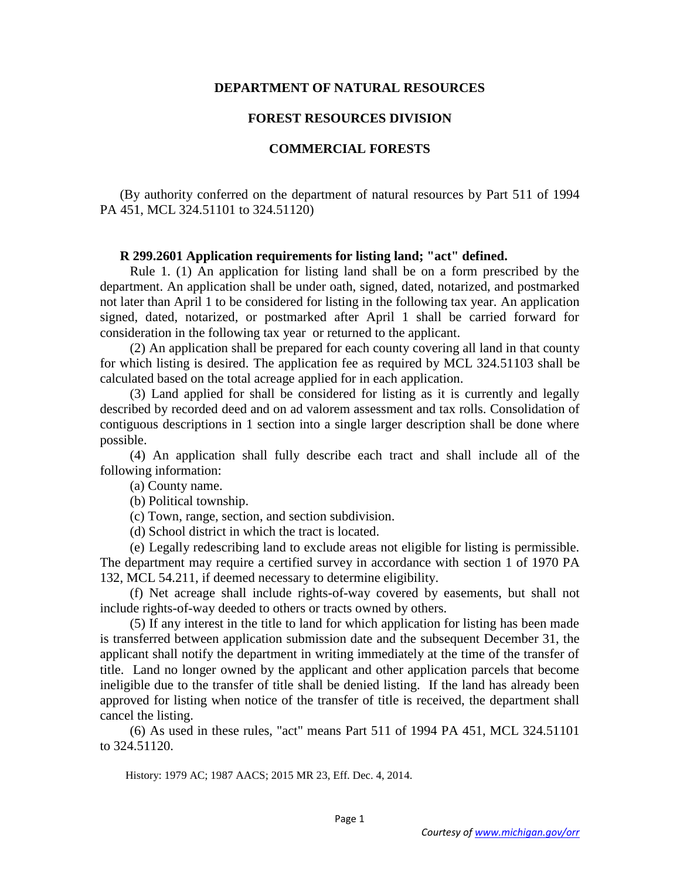### **DEPARTMENT OF NATURAL RESOURCES**

### **FOREST RESOURCES DIVISION**

## **COMMERCIAL FORESTS**

(By authority conferred on the department of natural resources by Part 511 of 1994 PA 451, MCL 324.51101 to 324.51120)

#### **R 299.2601 Application requirements for listing land; "act" defined.**

 Rule 1. (1) An application for listing land shall be on a form prescribed by the department. An application shall be under oath, signed, dated, notarized, and postmarked not later than April 1 to be considered for listing in the following tax year. An application signed, dated, notarized, or postmarked after April 1 shall be carried forward for consideration in the following tax year or returned to the applicant.

 (2) An application shall be prepared for each county covering all land in that county for which listing is desired. The application fee as required by MCL 324.51103 shall be calculated based on the total acreage applied for in each application.

 (3) Land applied for shall be considered for listing as it is currently and legally described by recorded deed and on ad valorem assessment and tax rolls. Consolidation of contiguous descriptions in 1 section into a single larger description shall be done where possible.

 (4) An application shall fully describe each tract and shall include all of the following information:

(a) County name.

(b) Political township.

(c) Town, range, section, and section subdivision.

(d) School district in which the tract is located.

 (e) Legally redescribing land to exclude areas not eligible for listing is permissible. The department may require a certified survey in accordance with section 1 of 1970 PA 132, MCL 54.211, if deemed necessary to determine eligibility.

 (f) Net acreage shall include rights-of-way covered by easements, but shall not include rights-of-way deeded to others or tracts owned by others.

 (5) If any interest in the title to land for which application for listing has been made is transferred between application submission date and the subsequent December 31, the applicant shall notify the department in writing immediately at the time of the transfer of title. Land no longer owned by the applicant and other application parcels that become ineligible due to the transfer of title shall be denied listing. If the land has already been approved for listing when notice of the transfer of title is received, the department shall cancel the listing.

 (6) As used in these rules, "act" means Part 511 of 1994 PA 451, MCL 324.51101 to 324.51120.

History: 1979 AC; 1987 AACS; 2015 MR 23, Eff. Dec. 4, 2014.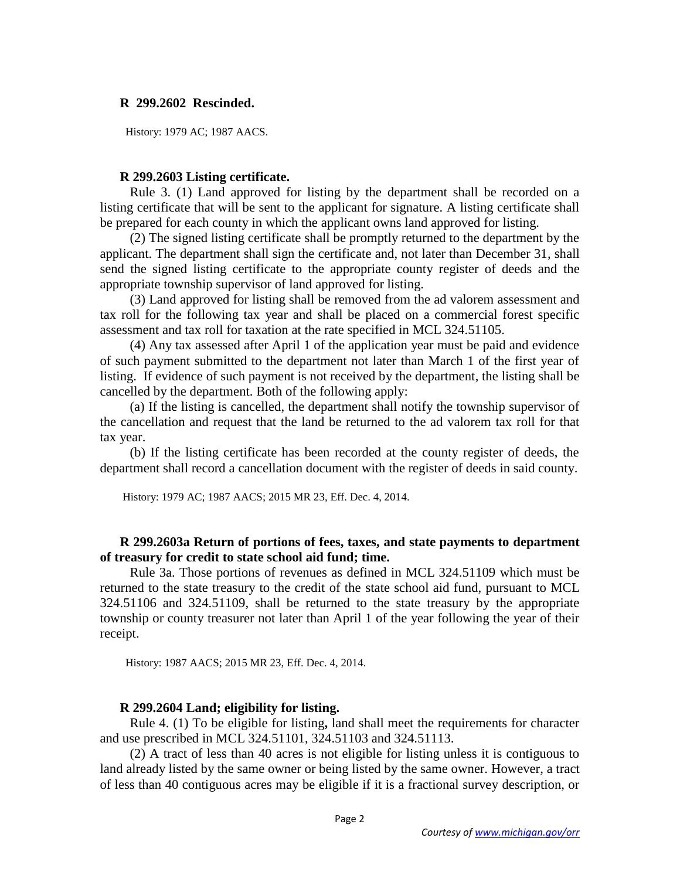## **R 299.2602 Rescinded.**

History: 1979 AC; 1987 AACS.

## **R 299.2603 Listing certificate.**

 Rule 3. (1) Land approved for listing by the department shall be recorded on a listing certificate that will be sent to the applicant for signature. A listing certificate shall be prepared for each county in which the applicant owns land approved for listing.

 (2) The signed listing certificate shall be promptly returned to the department by the applicant. The department shall sign the certificate and, not later than December 31, shall send the signed listing certificate to the appropriate county register of deeds and the appropriate township supervisor of land approved for listing.

 (3) Land approved for listing shall be removed from the ad valorem assessment and tax roll for the following tax year and shall be placed on a commercial forest specific assessment and tax roll for taxation at the rate specified in MCL 324.51105.

 (4) Any tax assessed after April 1 of the application year must be paid and evidence of such payment submitted to the department not later than March 1 of the first year of listing. If evidence of such payment is not received by the department, the listing shall be cancelled by the department. Both of the following apply:

 (a) If the listing is cancelled, the department shall notify the township supervisor of the cancellation and request that the land be returned to the ad valorem tax roll for that tax year.

 (b) If the listing certificate has been recorded at the county register of deeds, the department shall record a cancellation document with the register of deeds in said county.

History: 1979 AC; 1987 AACS; 2015 MR 23, Eff. Dec. 4, 2014.

## **R 299.2603a Return of portions of fees, taxes, and state payments to department of treasury for credit to state school aid fund; time.**

 Rule 3a. Those portions of revenues as defined in MCL 324.51109 which must be returned to the state treasury to the credit of the state school aid fund, pursuant to MCL 324.51106 and 324.51109, shall be returned to the state treasury by the appropriate township or county treasurer not later than April 1 of the year following the year of their receipt.

History: 1987 AACS; 2015 MR 23, Eff. Dec. 4, 2014.

## **R 299.2604 Land; eligibility for listing.**

 Rule 4. (1) To be eligible for listing**,** land shall meet the requirements for character and use prescribed in MCL 324.51101, 324.51103 and 324.51113.

 (2) A tract of less than 40 acres is not eligible for listing unless it is contiguous to land already listed by the same owner or being listed by the same owner. However, a tract of less than 40 contiguous acres may be eligible if it is a fractional survey description, or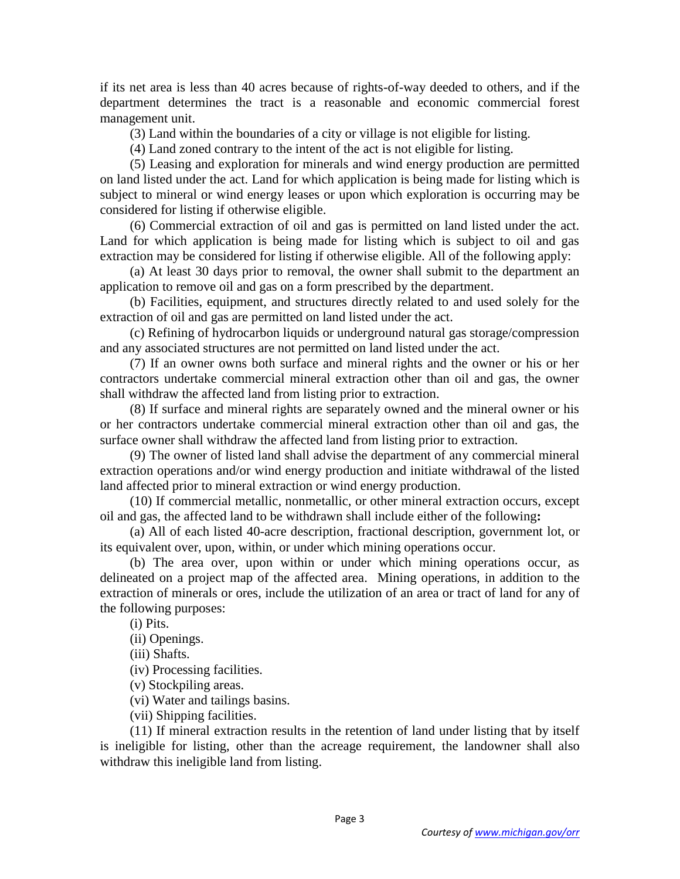if its net area is less than 40 acres because of rights-of-way deeded to others, and if the department determines the tract is a reasonable and economic commercial forest management unit.

(3) Land within the boundaries of a city or village is not eligible for listing.

(4) Land zoned contrary to the intent of the act is not eligible for listing.

 (5) Leasing and exploration for minerals and wind energy production are permitted on land listed under the act. Land for which application is being made for listing which is subject to mineral or wind energy leases or upon which exploration is occurring may be considered for listing if otherwise eligible.

(6) Commercial extraction of oil and gas is permitted on land listed under the act. Land for which application is being made for listing which is subject to oil and gas extraction may be considered for listing if otherwise eligible. All of the following apply:

 (a) At least 30 days prior to removal, the owner shall submit to the department an application to remove oil and gas on a form prescribed by the department.

 (b) Facilities, equipment, and structures directly related to and used solely for the extraction of oil and gas are permitted on land listed under the act.

 (c) Refining of hydrocarbon liquids or underground natural gas storage/compression and any associated structures are not permitted on land listed under the act.

 (7) If an owner owns both surface and mineral rights and the owner or his or her contractors undertake commercial mineral extraction other than oil and gas, the owner shall withdraw the affected land from listing prior to extraction.

(8) If surface and mineral rights are separately owned and the mineral owner or his or her contractors undertake commercial mineral extraction other than oil and gas, the surface owner shall withdraw the affected land from listing prior to extraction.

 (9) The owner of listed land shall advise the department of any commercial mineral extraction operations and/or wind energy production and initiate withdrawal of the listed land affected prior to mineral extraction or wind energy production.

 (10) If commercial metallic, nonmetallic, or other mineral extraction occurs, except oil and gas, the affected land to be withdrawn shall include either of the following**:**

 (a) All of each listed 40-acre description, fractional description, government lot, or its equivalent over, upon, within, or under which mining operations occur.

 (b) The area over, upon within or under which mining operations occur, as delineated on a project map of the affected area. Mining operations, in addition to the extraction of minerals or ores, include the utilization of an area or tract of land for any of the following purposes:

(i) Pits.

(ii) Openings.

(iii) Shafts.

(iv) Processing facilities.

(v) Stockpiling areas.

(vi) Water and tailings basins.

(vii) Shipping facilities.

(11) If mineral extraction results in the retention of land under listing that by itself is ineligible for listing, other than the acreage requirement, the landowner shall also withdraw this ineligible land from listing.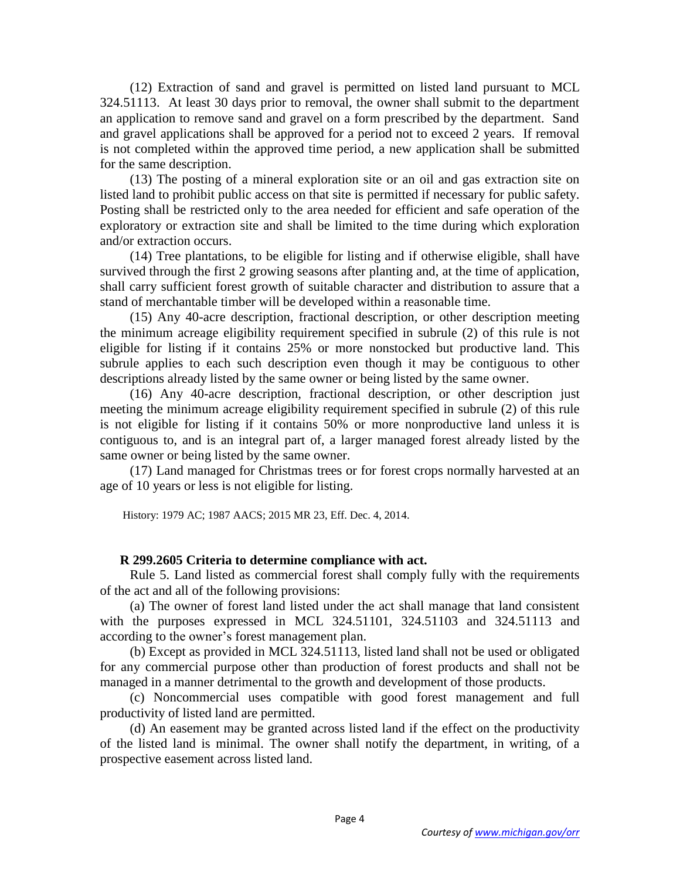(12) Extraction of sand and gravel is permitted on listed land pursuant to MCL 324.51113. At least 30 days prior to removal, the owner shall submit to the department an application to remove sand and gravel on a form prescribed by the department. Sand and gravel applications shall be approved for a period not to exceed 2 years. If removal is not completed within the approved time period, a new application shall be submitted for the same description.

 (13) The posting of a mineral exploration site or an oil and gas extraction site on listed land to prohibit public access on that site is permitted if necessary for public safety. Posting shall be restricted only to the area needed for efficient and safe operation of the exploratory or extraction site and shall be limited to the time during which exploration and/or extraction occurs.

 (14) Tree plantations, to be eligible for listing and if otherwise eligible, shall have survived through the first 2 growing seasons after planting and, at the time of application, shall carry sufficient forest growth of suitable character and distribution to assure that a stand of merchantable timber will be developed within a reasonable time.

 (15) Any 40-acre description, fractional description, or other description meeting the minimum acreage eligibility requirement specified in subrule (2) of this rule is not eligible for listing if it contains 25% or more nonstocked but productive land. This subrule applies to each such description even though it may be contiguous to other descriptions already listed by the same owner or being listed by the same owner.

 (16) Any 40-acre description, fractional description, or other description just meeting the minimum acreage eligibility requirement specified in subrule (2) of this rule is not eligible for listing if it contains 50% or more nonproductive land unless it is contiguous to, and is an integral part of, a larger managed forest already listed by the same owner or being listed by the same owner.

 (17) Land managed for Christmas trees or for forest crops normally harvested at an age of 10 years or less is not eligible for listing.

History: 1979 AC; 1987 AACS; 2015 MR 23, Eff. Dec. 4, 2014.

#### **R 299.2605 Criteria to determine compliance with act.**

 Rule 5. Land listed as commercial forest shall comply fully with the requirements of the act and all of the following provisions:

 (a) The owner of forest land listed under the act shall manage that land consistent with the purposes expressed in MCL 324.51101, 324.51103 and 324.51113 and according to the owner's forest management plan.

 (b) Except as provided in MCL 324.51113, listed land shall not be used or obligated for any commercial purpose other than production of forest products and shall not be managed in a manner detrimental to the growth and development of those products.

 (c) Noncommercial uses compatible with good forest management and full productivity of listed land are permitted.

 (d) An easement may be granted across listed land if the effect on the productivity of the listed land is minimal. The owner shall notify the department, in writing, of a prospective easement across listed land.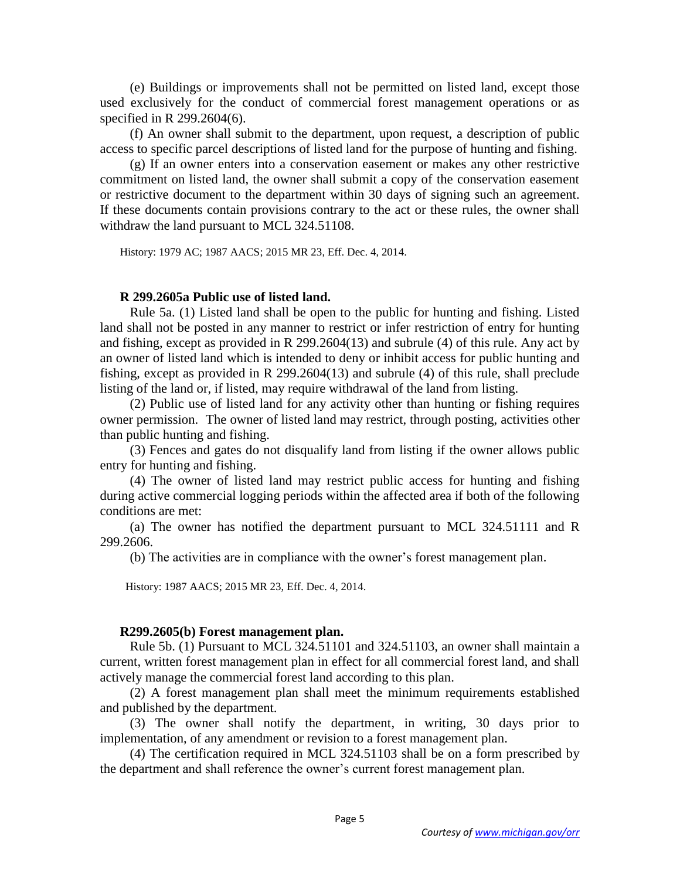(e) Buildings or improvements shall not be permitted on listed land, except those used exclusively for the conduct of commercial forest management operations or as specified in R 299.2604(6).

 (f) An owner shall submit to the department, upon request, a description of public access to specific parcel descriptions of listed land for the purpose of hunting and fishing.

 (g) If an owner enters into a conservation easement or makes any other restrictive commitment on listed land, the owner shall submit a copy of the conservation easement or restrictive document to the department within 30 days of signing such an agreement. If these documents contain provisions contrary to the act or these rules, the owner shall withdraw the land pursuant to MCL 324.51108.

History: 1979 AC; 1987 AACS; 2015 MR 23, Eff. Dec. 4, 2014.

#### **R 299.2605a Public use of listed land.**

 Rule 5a. (1) Listed land shall be open to the public for hunting and fishing. Listed land shall not be posted in any manner to restrict or infer restriction of entry for hunting and fishing, except as provided in R 299.2604(13) and subrule (4) of this rule. Any act by an owner of listed land which is intended to deny or inhibit access for public hunting and fishing, except as provided in R 299.2604(13) and subrule (4) of this rule, shall preclude listing of the land or, if listed, may require withdrawal of the land from listing.

 (2) Public use of listed land for any activity other than hunting or fishing requires owner permission.The owner of listed land may restrict, through posting, activities other than public hunting and fishing.

 (3) Fences and gates do not disqualify land from listing if the owner allows public entry for hunting and fishing.

 (4) The owner of listed land may restrict public access for hunting and fishing during active commercial logging periods within the affected area if both of the following conditions are met:

 (a) The owner has notified the department pursuant to MCL 324.51111 and R 299.2606.

(b) The activities are in compliance with the owner's forest management plan.

History: 1987 AACS; 2015 MR 23, Eff. Dec. 4, 2014.

#### **R299.2605(b) Forest management plan.**

 Rule 5b. (1) Pursuant to MCL 324.51101 and 324.51103, an owner shall maintain a current, written forest management plan in effect for all commercial forest land, and shall actively manage the commercial forest land according to this plan.

 (2) A forest management plan shall meet the minimum requirements established and published by the department.

 (3) The owner shall notify the department, in writing, 30 days prior to implementation, of any amendment or revision to a forest management plan.

 (4) The certification required in MCL 324.51103 shall be on a form prescribed by the department and shall reference the owner's current forest management plan.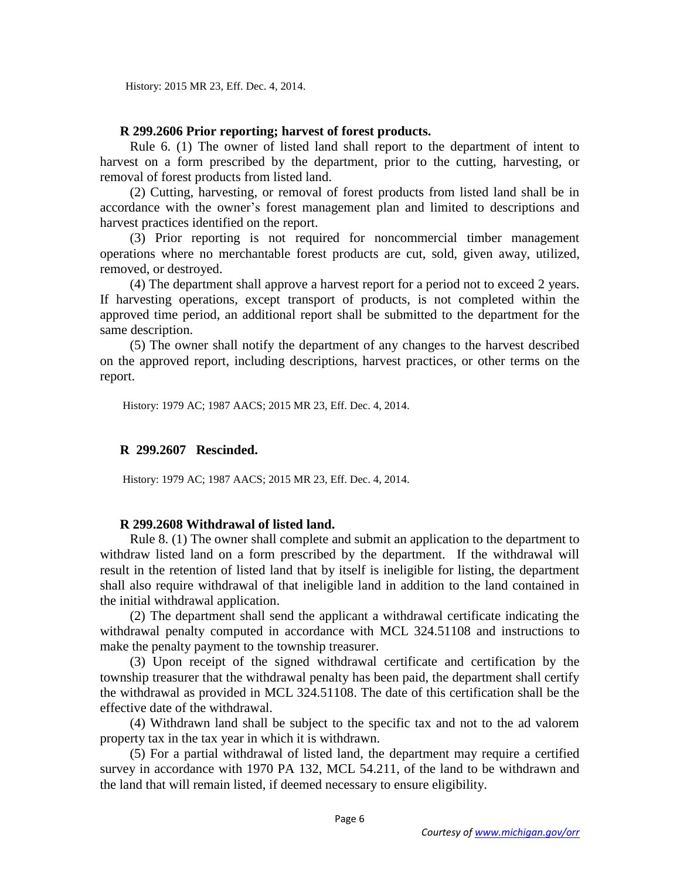## **R 299.2606 Prior reporting; harvest of forest products.**

 Rule 6. (1) The owner of listed land shall report to the department of intent to harvest on a form prescribed by the department, prior to the cutting, harvesting, or removal of forest products from listed land.

 (2) Cutting, harvesting, or removal of forest products from listed land shall be in accordance with the owner's forest management plan and limited to descriptions and harvest practices identified on the report.

 (3) Prior reporting is not required for noncommercial timber management operations where no merchantable forest products are cut, sold, given away, utilized, removed, or destroyed.

 (4) The department shall approve a harvest report for a period not to exceed 2 years. If harvesting operations, except transport of products, is not completed within the approved time period, an additional report shall be submitted to the department for the same description.

 (5) The owner shall notify the department of any changes to the harvest described on the approved report, including descriptions, harvest practices, or other terms on the report.

History: 1979 AC; 1987 AACS; 2015 MR 23, Eff. Dec. 4, 2014.

## **R 299.2607 Rescinded.**

History: 1979 AC; 1987 AACS; 2015 MR 23, Eff. Dec. 4, 2014.

## **R 299.2608 Withdrawal of listed land.**

 Rule 8. (1) The owner shall complete and submit an application to the department to withdraw listed land on a form prescribed by the department. If the withdrawal will result in the retention of listed land that by itself is ineligible for listing, the department shall also require withdrawal of that ineligible land in addition to the land contained in the initial withdrawal application.

(2) The department shall send the applicant a withdrawal certificate indicating the withdrawal penalty computed in accordance with MCL 324.51108 and instructions to make the penalty payment to the township treasurer.

 (3) Upon receipt of the signed withdrawal certificate and certification by the township treasurer that the withdrawal penalty has been paid, the department shall certify the withdrawal as provided in MCL 324.51108. The date of this certification shall be the effective date of the withdrawal.

(4) Withdrawn land shall be subject to the specific tax and not to the ad valorem property tax in the tax year in which it is withdrawn.

(5) For a partial withdrawal of listed land, the department may require a certified survey in accordance with 1970 PA 132, MCL 54.211, of the land to be withdrawn and the land that will remain listed, if deemed necessary to ensure eligibility.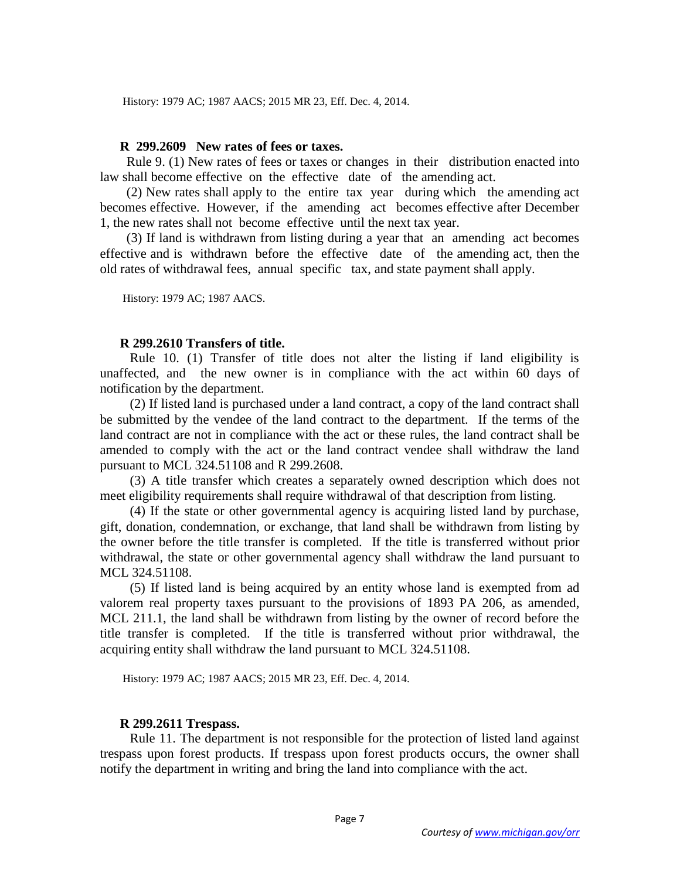History: 1979 AC; 1987 AACS; 2015 MR 23, Eff. Dec. 4, 2014.

### **R 299.2609 New rates of fees or taxes.**

 Rule 9. (1) New rates of fees or taxes or changes in their distribution enacted into law shall become effective on the effective date of the amending act.

 (2) New rates shall apply to the entire tax year during which the amending act becomes effective. However, if the amending act becomes effective after December 1, the new rates shall not become effective until the next tax year.

 (3) If land is withdrawn from listing during a year that an amending act becomes effective and is withdrawn before the effective date of the amending act, then the old rates of withdrawal fees, annual specific tax, and state payment shall apply.

History: 1979 AC; 1987 AACS.

#### **R 299.2610 Transfers of title.**

 Rule 10. (1) Transfer of title does not alter the listing if land eligibility is unaffected, and the new owner is in compliance with the act within 60 days of notification by the department.

 (2) If listed land is purchased under a land contract, a copy of the land contract shall be submitted by the vendee of the land contract to the department. If the terms of the land contract are not in compliance with the act or these rules, the land contract shall be amended to comply with the act or the land contract vendee shall withdraw the land pursuant to MCL 324.51108 and R 299.2608.

(3) A title transfer which creates a separately owned description which does not meet eligibility requirements shall require withdrawal of that description from listing.

(4) If the state or other governmental agency is acquiring listed land by purchase, gift, donation, condemnation, or exchange, that land shall be withdrawn from listing by the owner before the title transfer is completed. If the title is transferred without prior withdrawal, the state or other governmental agency shall withdraw the land pursuant to MCL 324.51108.

 (5) If listed land is being acquired by an entity whose land is exempted from ad valorem real property taxes pursuant to the provisions of 1893 PA 206, as amended, MCL 211.1, the land shall be withdrawn from listing by the owner of record before the title transfer is completed. If the title is transferred without prior withdrawal, the acquiring entity shall withdraw the land pursuant to MCL 324.51108.

History: 1979 AC; 1987 AACS; 2015 MR 23, Eff. Dec. 4, 2014.

#### **R 299.2611 Trespass.**

Rule 11. The department is not responsible for the protection of listed land against trespass upon forest products. If trespass upon forest products occurs, the owner shall notify the department in writing and bring the land into compliance with the act.